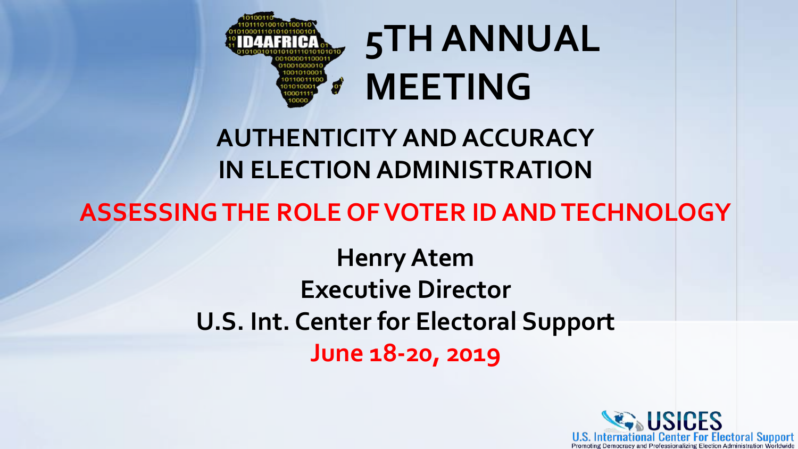

# **5TH ANNUAL MEETING**

### **AUTHENTICITY AND ACCURACY IN ELECTION ADMINISTRATION**

### **ASSESSING THE ROLE OF VOTER ID AND TECHNOLOGY**

**Henry Atem Executive Director U.S. Int. Center for Electoral Support June 18-20, 2019**

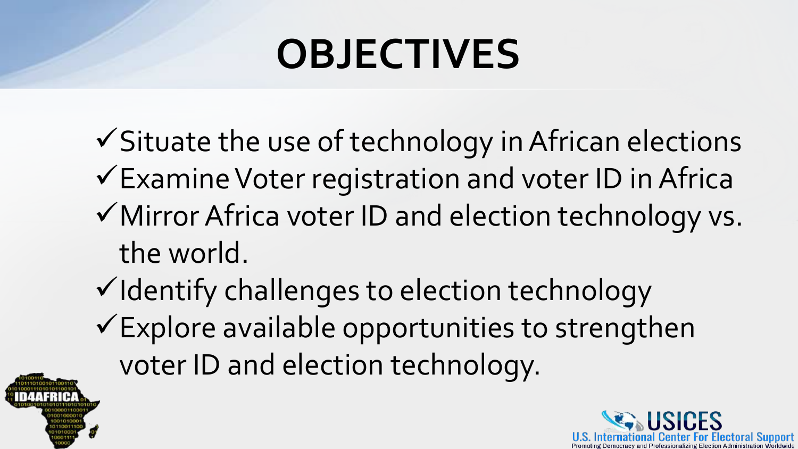# **OBJECTIVES**

- $\checkmark$  Situate the use of technology in African elections
- $\checkmark$  Examine Voter registration and voter ID in Africa
- $\checkmark$  Mirror Africa voter ID and election technology vs. the world.
- $\checkmark$  Identify challenges to election technology  $\checkmark$  Explore available opportunities to strengthen voter ID and election technology.



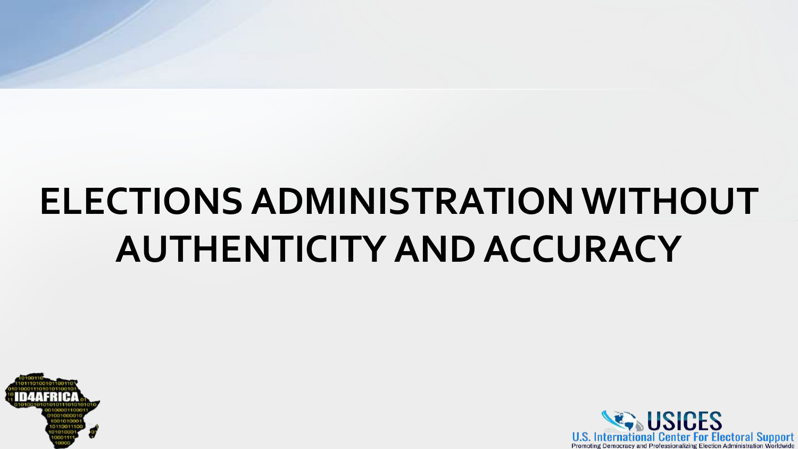# **ELECTIONS ADMINISTRATION WITHOUT AUTHENTICITY AND ACCURACY**



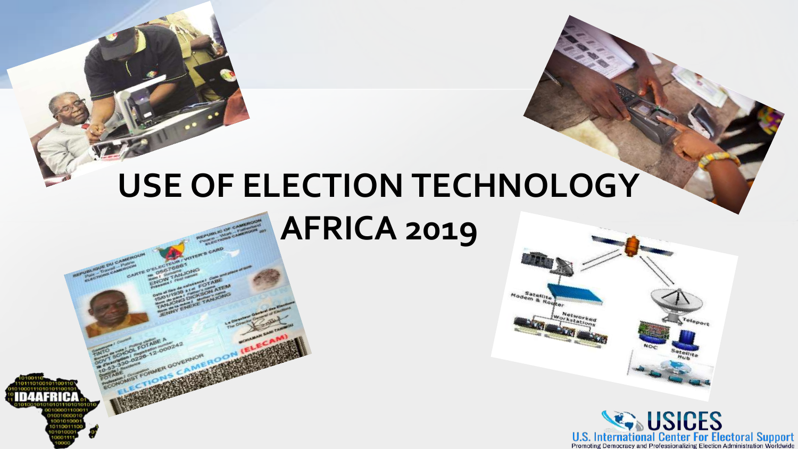### **USE OF ELECTION TECHNOLOGY AFRICA 2019**



U.S. International Center For Electoral Support<br>Promoting Democracy and Professionalizing Election Administration Worldwide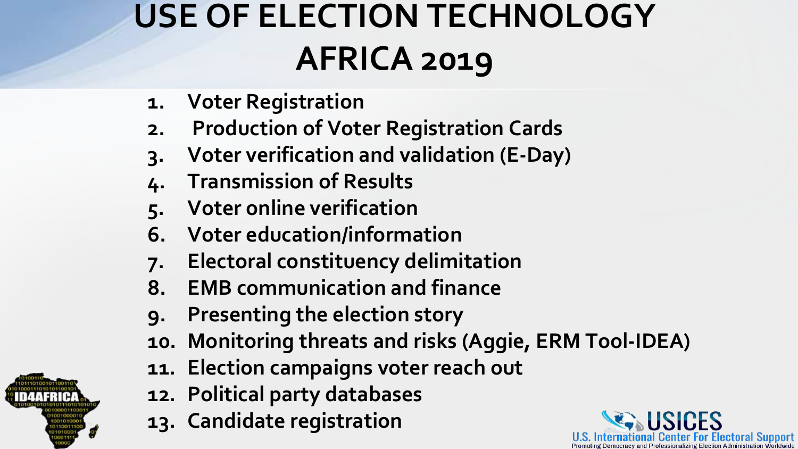### **USE OF ELECTION TECHNOLOGY AFRICA 2019**

- **1. Voter Registration**
- **2. Production of Voter Registration Cards**
- **3. Voter verification and validation (E-Day)**
- **4. Transmission of Results**
- **5. Voter online verification**
- **6. Voter education/information**
- **7. Electoral constituency delimitation**
- **8. EMB communication and finance**
- **9. Presenting the election story**
- **10. Monitoring threats and risks (Aggie, ERM Tool-IDEA)**
- **11. Election campaigns voter reach out**
- **12. Political party databases**
- **13. Candidate registration**



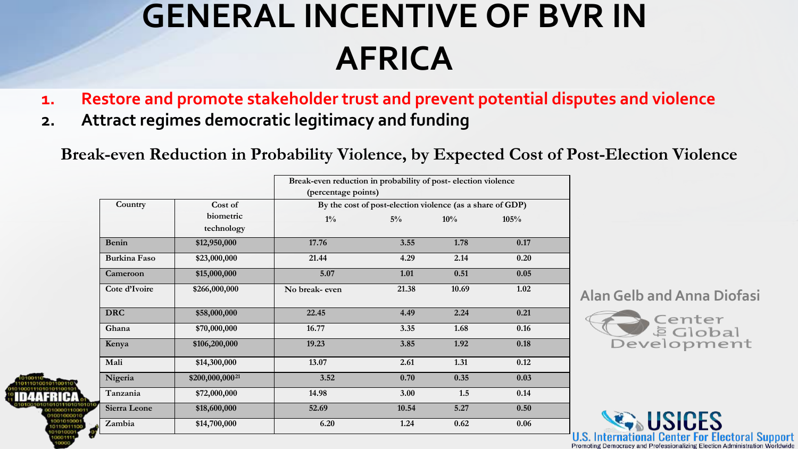### **GENERAL INCENTIVE OF BVR IN AFRICA**

- **1. Restore and promote stakeholder trust and prevent potential disputes and violence**
- **2. Attract regimes democratic legitimacy and funding**

**Break-even Reduction in Probability Violence, by Expected Cost of Post-Election Violence**

|                         | Break-even reduction in probability of post-election violence<br>(percentage points) |       |       |      |  |
|-------------------------|--------------------------------------------------------------------------------------|-------|-------|------|--|
| Cost of                 | By the cost of post-election violence (as a share of GDP)                            |       |       |      |  |
| biometric<br>technology | $1\%$                                                                                | $5\%$ | 10%   | 105% |  |
| \$12,950,000            | 17.76                                                                                | 3.55  | 1.78  | 0.17 |  |
| \$23,000,000            | 21.44                                                                                | 4.29  | 2.14  | 0.20 |  |
| \$15,000,000            | 5.07                                                                                 | 1.01  | 0.51  | 0.05 |  |
| \$266,000,000           | No break- even                                                                       | 21.38 | 10.69 | 1.02 |  |
| \$58,000,000            | 22.45                                                                                | 4.49  | 2.24  | 0.21 |  |
| \$70,000,000            | 16.77                                                                                | 3.35  | 1.68  | 0.16 |  |
| \$106,200,000           | 19.23                                                                                | 3.85  | 1.92  | 0.18 |  |
| \$14,300,000            | 13.07                                                                                | 2.61  | 1.31  | 0.12 |  |
| \$200,000,00021         | 3.52                                                                                 | 0.70  | 0.35  | 0.03 |  |
| \$72,000,000            | 14.98                                                                                | 3.00  | 1.5   | 0.14 |  |
| \$18,600,000            | 52.69                                                                                | 10.54 | 5.27  | 0.50 |  |
| \$14,700,000            | 6.20                                                                                 | 1.24  | 0.62  | 0.06 |  |
|                         |                                                                                      |       |       |      |  |

**Alan Gelb and Anna Diofasi**



**For Electoral Support**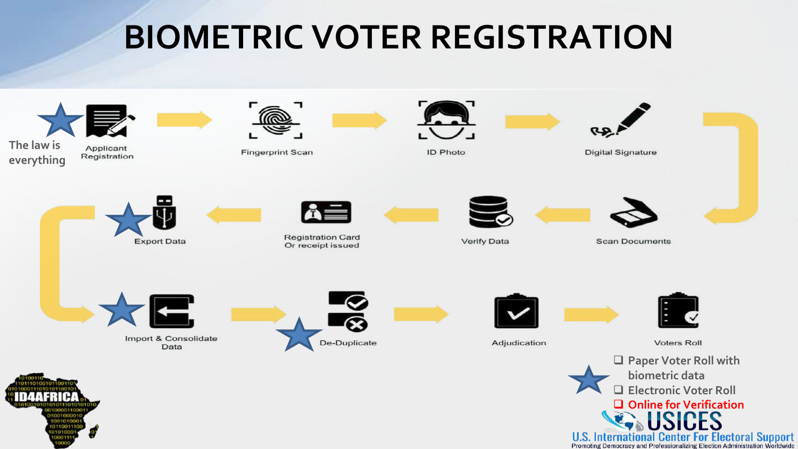### **BIOMETRIC VOTER REGISTRATION**



**U.S. International Center For Electoral Support**<br>Promoting Democracy and Professionalizing Election Administration Worldwide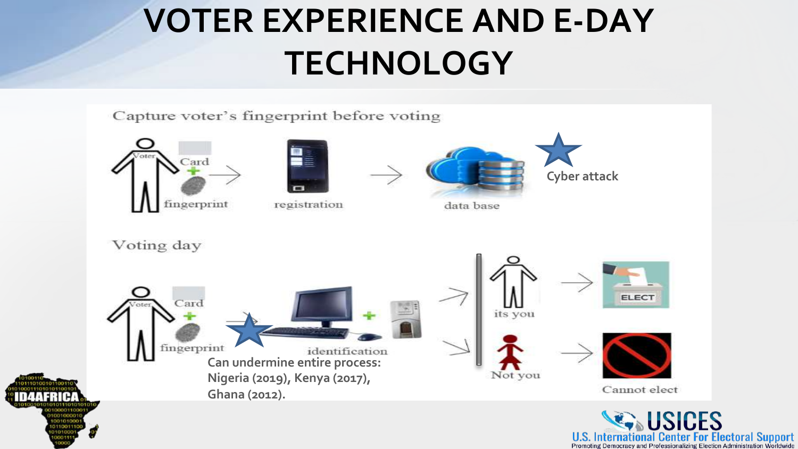### **VOTER EXPERIENCE AND E-DAY TECHNOLOGY**











data base



**USICES U.S. International Center For Electoral Support**<br>Promoting Democracy and Professionalizing Election Administration Worldwide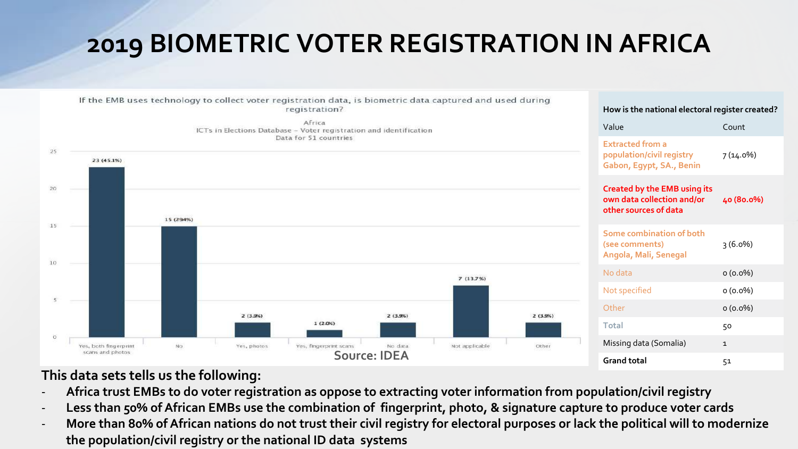### **2019 BIOMETRIC VOTER REGISTRATION IN AFRICA**



#### **This data sets tells us the following:**

- **Africa trust EMBs to do voter registration as oppose to extracting voter information from population/civil registry**
- Less than 50% of African EMBs use the combination of fingerprint, photo, & signature capture to produce voter cards
- **More than 80% of African nations do not trust their civil registry for electoral purposes or lack the political will to modernize the population/civil registry or the national ID data systems**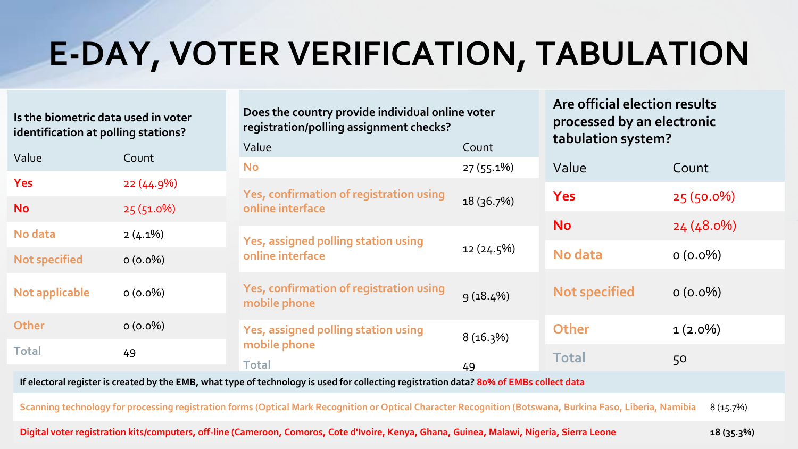### **E-DAY, VOTER VERIFICATION, TABULATION**

**Does the country provide individual online voter** 

**registration/polling assignment checks?**

**Is the biometric data used in voter identification at polling stations?**

Value Count **Yes** 22 (44.9%) **No** 25 (51.0%) **No data** 2 (4.1%) **Not specified 0 (0.0%) Not applicable 0 (0.0%) Other** 0 (0.0%) **Total** 49 **tabulation system?** Value Count **Yes** 25 (50.0%) **No** 24 (48.0%) **No data 0 (0.0%) Not specified** 0 (0.0%) **Other** 1 (2.0%) Total 50 Value Count **No** 27 (55.1%) **Yes, confirmation of registration using online interface** 18 (36.7%) **Yes, assigned polling station using online interface** 12 (24.5%) **Yes, confirmation of registration using**  estimulation of registration osing 9 (18.4%) **Yes, assigned polling station using**  mobile phone<br> **mobile phone** 8 (16.3%) **Total** 49

**If electoral register is created by the EMB, what type of technology is used for collecting registration data? 80% of EMBs collect data**

**Scanning technology for processing registration forms (Optical Mark Recognition or Optical Character Recognition (Botswana, Burkina Faso, Liberia, Namibia** 8 (15.7%)

**Digital voter registration kits/computers, off-line (Cameroon, Comoros, Cote d'Ivoire, Kenya, Ghana, Guinea, Malawi, Nigeria, Sierra Leone 18 (35.3%)**

**Are official election results processed by an electronic**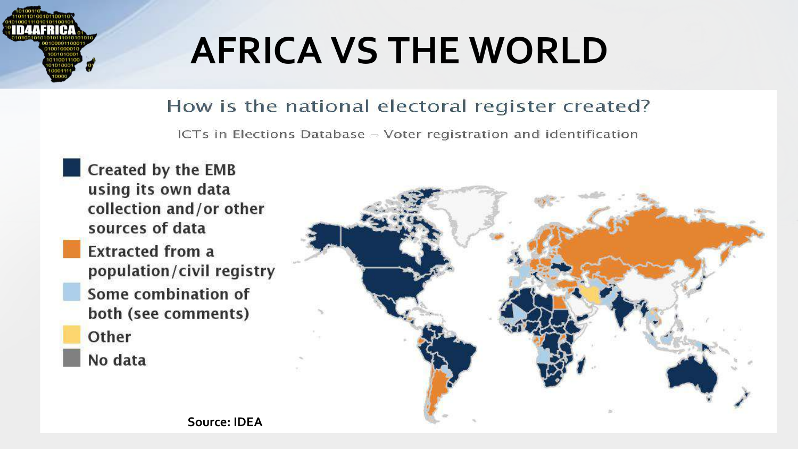

# **AFRICA VS THE WORLD**

#### How is the national electoral register created?

ICTs in Elections Database - Voter registration and identification

Created by the EMB using its own data collection and/or other sources of data **Extracted from a** population/civil registry Some combination of both (see comments) Other No data

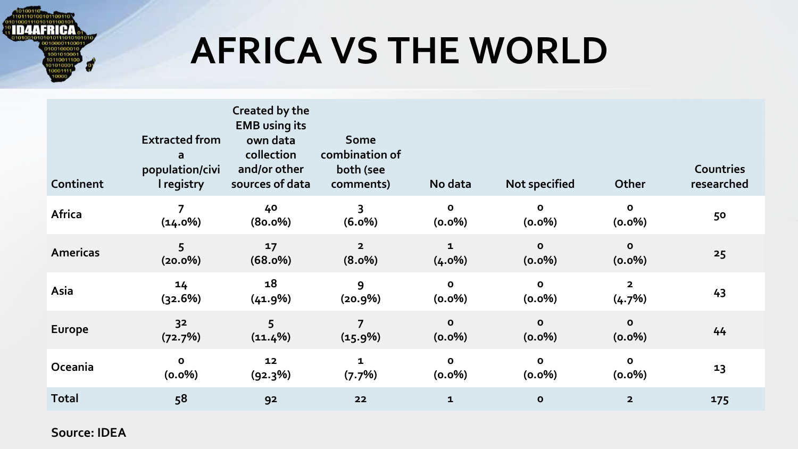

## **AFRICA VS THE WORLD**

| Continent       | <b>Extracted from</b><br>a<br>population/civi<br>I registry | Created by the<br><b>EMB</b> using its<br>own data<br>collection<br>and/or other<br>sources of data | Some<br>combination of<br>both (see<br>comments) | No data                   | Not specified             | Other                     | <b>Countries</b><br>researched |
|-----------------|-------------------------------------------------------------|-----------------------------------------------------------------------------------------------------|--------------------------------------------------|---------------------------|---------------------------|---------------------------|--------------------------------|
| Africa          | 7<br>(14.0%)                                                | 40<br>$(80.0\%)$                                                                                    | 3<br>(6.0%)                                      | $\mathbf{o}$<br>(0.0%)    | $\mathbf{o}$<br>(0.0%)    | $\mathbf{o}$<br>(0.0%)    | 50                             |
| <b>Americas</b> | 5<br>$(20.0\%)$                                             | 17<br>(68.0%)                                                                                       | $\overline{2}$<br>$(8.0\%)$                      | $\mathbf{1}$<br>$(4.0\%)$ | $\mathbf{o}$<br>$(0.0\%)$ | $\mathbf{o}$<br>$(0.0\%)$ | 25                             |
| Asia            | 14<br>(32.6%)                                               | 18<br>(41.9%)                                                                                       | 9<br>(20.9%)                                     | $\mathbf{o}$<br>(0.0%)    | $\mathbf{o}$<br>(0.0%)    | $\overline{2}$<br>(4.7%)  | 43                             |
| <b>Europe</b>   | 32<br>(72.7%)                                               | 5<br>$(11.4\%)$                                                                                     | $\overline{7}$<br>(15.9%)                        | $\mathbf{o}$<br>(0.0%)    | $\mathbf{o}$<br>(0.0%)    | $\mathbf{o}$<br>(0.0%)    | 44                             |
| Oceania         | o<br>(0.0%)                                                 | 12<br>(92.3%)                                                                                       | $\mathbf{1}$<br>(7.7%)                           | $\mathbf{o}$<br>$(0.0\%)$ | $\mathbf{o}$<br>(0.0%)    | $\mathbf{o}$<br>(0.0%)    | 13                             |
| <b>Total</b>    | 58                                                          | 92                                                                                                  | 22                                               | $\mathbf{1}$              | $\mathbf{o}$              | $\overline{2}$            | 175                            |

**Source: IDEA**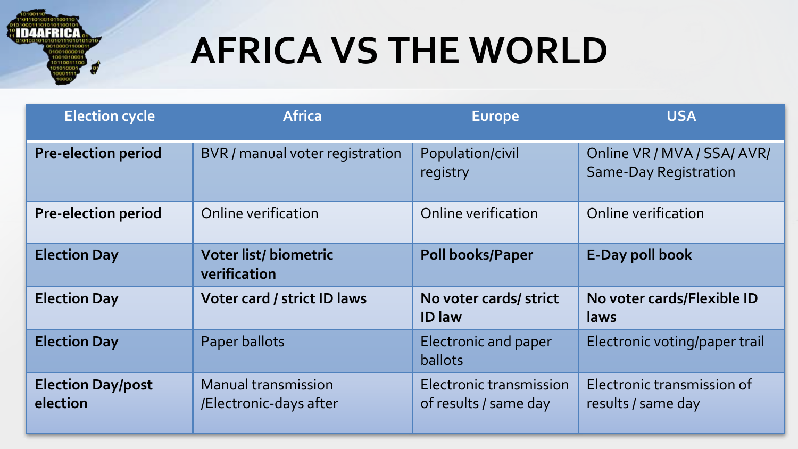

# **AFRICA VS THE WORLD**

| <b>Election cycle</b>                | <b>Africa</b>                                 | <b>Europe</b>                                    | <b>USA</b>                                                  |
|--------------------------------------|-----------------------------------------------|--------------------------------------------------|-------------------------------------------------------------|
| <b>Pre-election period</b>           | BVR / manual voter registration               | Population/civil<br>registry                     | Online VR / MVA / SSA/ AVR/<br><b>Same-Day Registration</b> |
| <b>Pre-election period</b>           | Online verification                           | Online verification                              | Online verification                                         |
| <b>Election Day</b>                  | Voter list/biometric<br>verification          | <b>Poll books/Paper</b>                          | <b>E-Day poll book</b>                                      |
| <b>Election Day</b>                  | Voter card / strict ID laws                   | No voter cards/ strict<br><b>ID</b> law          | No voter cards/Flexible ID<br>laws                          |
| <b>Election Day</b>                  | Paper ballots                                 | <b>Electronic and paper</b><br><b>ballots</b>    | Electronic voting/paper trail                               |
| <b>Election Day/post</b><br>election | Manual transmission<br>/Electronic-days after | Electronic transmission<br>of results / same day | Electronic transmission of<br>results / same day            |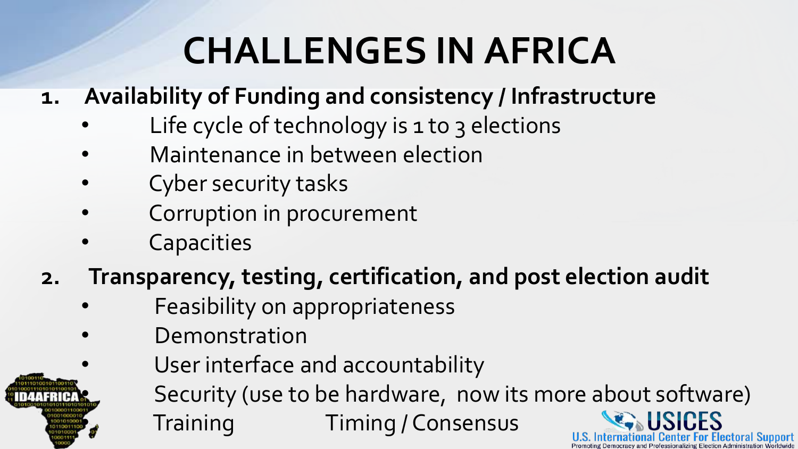## **CHALLENGES IN AFRICA**

- **1. Availability of Funding and consistency / Infrastructure**
	- Life cycle of technology is 1 to 3 elections
	- Maintenance in between election
	- Cyber security tasks
	- Corruption in procurement
	- **Capacities**
- **2. Transparency, testing, certification, and post election audit**
	- Feasibility on appropriateness
	- **Demonstration** 
		- User interface and accountability

Security (use to be hardware, now its more about software)

Training Timing / Consensus

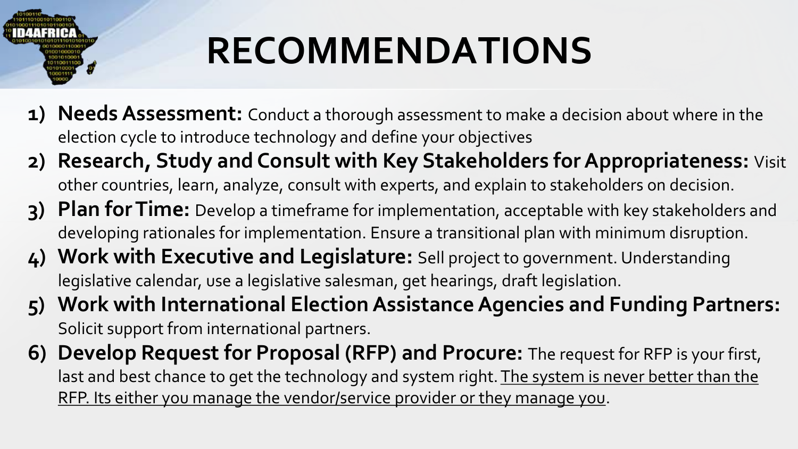

# **RECOMMENDATIONS**

- **1) Needs Assessment:** Conduct a thorough assessment to make a decision about where in the election cycle to introduce technology and define your objectives
- **2) Research, Study and Consult with Key Stakeholders for Appropriateness:** Visit other countries, learn, analyze, consult with experts, and explain to stakeholders on decision.
- **3) Plan for Time:** Develop a timeframe for implementation, acceptable with key stakeholders and developing rationales for implementation. Ensure a transitional plan with minimum disruption.
- **4) Work with Executive and Legislature:** Sell project to government. Understanding legislative calendar, use a legislative salesman, get hearings, draft legislation.
- **5) Work with International Election Assistance Agencies and Funding Partners:**  Solicit support from international partners.
- **6) Develop Request for Proposal (RFP) and Procure:** The request for RFP is your first, last and best chance to get the technology and system right. The system is never better than the RFP. Its either you manage the vendor/service provider or they manage you.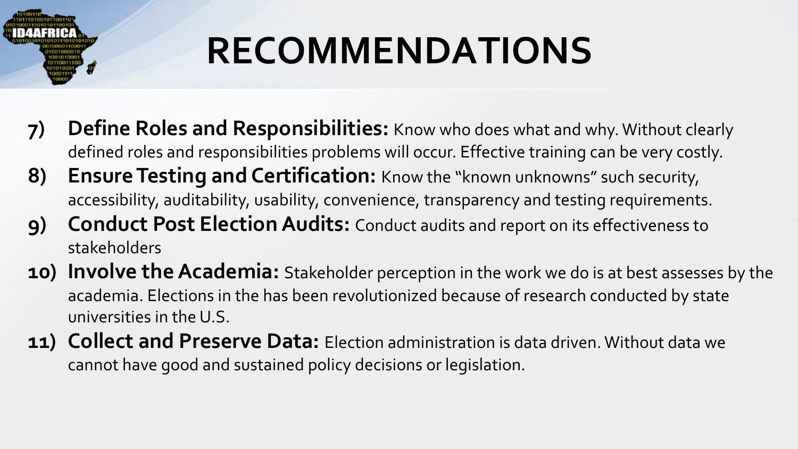

# **RECOMMENDATIONS**

- **7) Define Roles and Responsibilities:** Know who does what and why. Without clearly defined roles and responsibilities problems will occur. Effective training can be very costly.
- **8) Ensure Testing and Certification:** Know the "known unknowns" such security, accessibility, auditability, usability, convenience, transparency and testing requirements.
- **9) Conduct Post Election Audits:** Conduct audits and report on its effectiveness to stakeholders
- **10) Involve the Academia:** Stakeholder perception in the work we do is at best assesses by the academia. Elections in the has been revolutionized because of research conducted by state universities in the U.S.
- **11) Collect and Preserve Data:** Election administration is data driven. Without data we cannot have good and sustained policy decisions or legislation.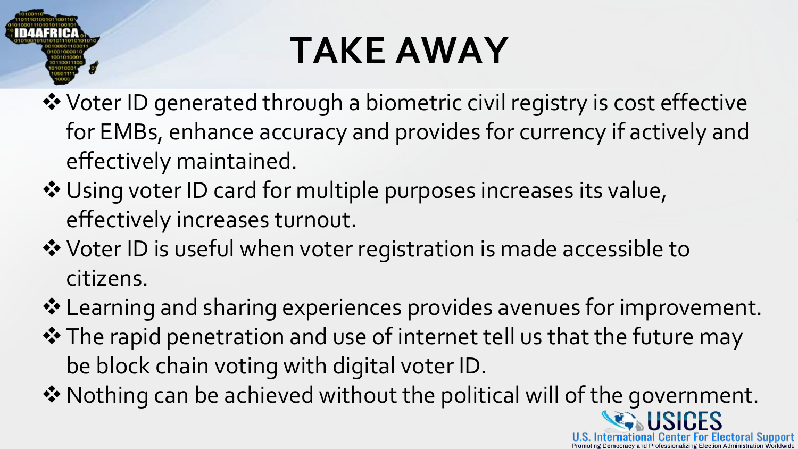

# **TAKE AWAY**

- **\*** Voter ID generated through a biometric civil registry is cost effective for EMBs, enhance accuracy and provides for currency if actively and effectively maintained.
- **\*** Using voter ID card for multiple purposes increases its value, effectively increases turnout.
- **\*** Voter ID is useful when voter registration is made accessible to citizens.
- **\*** Learning and sharing experiences provides avenues for improvement.
- vThe rapid penetration and use of internet tell us that the future may be block chain voting with digital voter ID.
- \* Nothing can be achieved without the political will of the government.

ICES

**Center For Electoral Support**